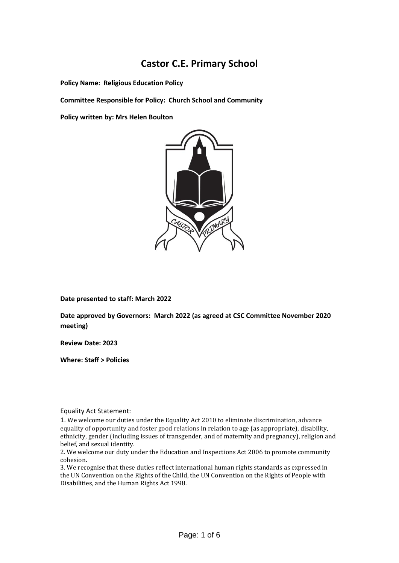# **Castor C.E. Primary School**

**Policy Name: Religious Education Policy**

**Committee Responsible for Policy: Church School and Community** 

**Policy written by: Mrs Helen Boulton**



**Date presented to staff: March 2022**

**Date approved by Governors: March 2022 (as agreed at CSC Committee November 2020 meeting)**

**Review Date: 2023**

**Where: Staff > Policies** 

Equality Act Statement:

1. We welcome our duties under the Equality Act 2010 to eliminate discrimination, advance equality of opportunity and foster good relations in relation to age (as appropriate), disability, ethnicity, gender (including issues of transgender, and of maternity and pregnancy), religion and belief, and sexual identity.

2. We welcome our duty under the Education and Inspections Act 2006 to promote community cohesion.

3. We recognise that these duties reflect international human rights standards as expressed in the UN Convention on the Rights of the Child, the UN Convention on the Rights of People with Disabilities, and the Human Rights Act 1998.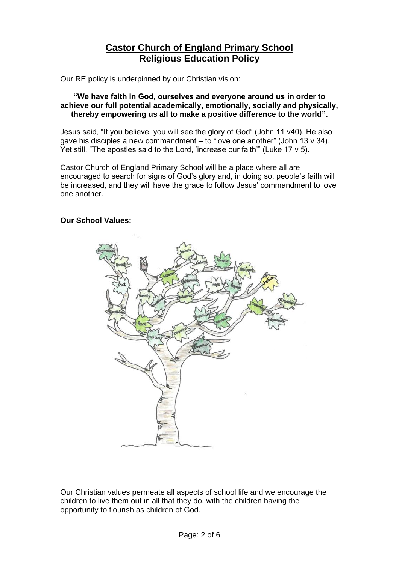# **Castor Church of England Primary School Religious Education Policy**

Our RE policy is underpinned by our Christian vision:

#### **"We have faith in God, ourselves and everyone around us in order to achieve our full potential academically, emotionally, socially and physically, thereby empowering us all to make a positive difference to the world".**

Jesus said, "If you believe, you will see the glory of God" (John 11 v40). He also gave his disciples a new commandment – to "love one another" (John 13 v 34). Yet still, "The apostles said to the Lord, 'increase our faith'" (Luke 17 v 5).

Castor Church of England Primary School will be a place where all are encouraged to search for signs of God's glory and, in doing so, people's faith will be increased, and they will have the grace to follow Jesus' commandment to love one another.

## **Our School Values:**



Our Christian values permeate all aspects of school life and we encourage the children to live them out in all that they do, with the children having the opportunity to flourish as children of God.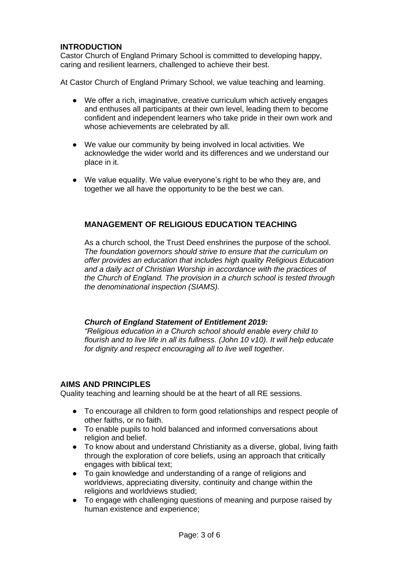# **INTRODUCTION**

Castor Church of England Primary School is committed to developing happy, caring and resilient learners, challenged to achieve their best.

At Castor Church of England Primary School, we value teaching and learning.

- We offer a rich, imaginative, creative curriculum which actively engages and enthuses all participants at their own level, leading them to become confident and independent learners who take pride in their own work and whose achievements are celebrated by all.
- We value our community by being involved in local activities. We acknowledge the wider world and its differences and we understand our place in it.
- We value equality. We value everyone's right to be who they are, and together we all have the opportunity to be the best we can.

## **MANAGEMENT OF RELIGIOUS EDUCATION TEACHING**

As a church school, the Trust Deed enshrines the purpose of the school. *The foundation governors should strive to ensure that the curriculum on offer provides an education that includes high quality Religious Education and a daily act of Christian Worship in accordance with the practices of the Church of England. The provision in a church school is tested through the denominational inspection (SIAMS).*

#### *Church of England Statement of Entitlement 2019:*

*"Religious education in a Church school should enable every child to flourish and to live life in all its fullness. (John 10 v10). It will help educate for dignity and respect encouraging all to live well together.*

## **AIMS AND PRINCIPLES**

Quality teaching and learning should be at the heart of all RE sessions.

- To encourage all children to form good relationships and respect people of other faiths, or no faith.
- To enable pupils to hold balanced and informed conversations about religion and belief.
- To know about and understand Christianity as a diverse, global, living faith through the exploration of core beliefs, using an approach that critically engages with biblical text;
- To gain knowledge and understanding of a range of religions and worldviews, appreciating diversity, continuity and change within the religions and worldviews studied;
- To engage with challenging questions of meaning and purpose raised by human existence and experience;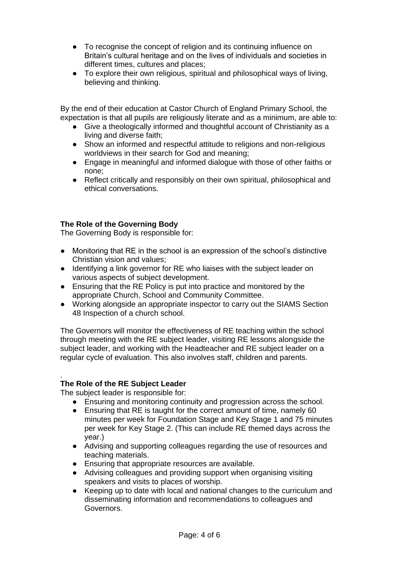- To recognise the concept of religion and its continuing influence on Britain's cultural heritage and on the lives of individuals and societies in different times, cultures and places;
- To explore their own religious, spiritual and philosophical ways of living, believing and thinking.

By the end of their education at Castor Church of England Primary School, the expectation is that all pupils are religiously literate and as a minimum, are able to:

- Give a theologically informed and thoughtful account of Christianity as a living and diverse faith;
- Show an informed and respectful attitude to religions and non-religious worldviews in their search for God and meaning;
- Engage in meaningful and informed dialogue with those of other faiths or none;
- Reflect critically and responsibly on their own spiritual, philosophical and ethical conversations.

## **The Role of the Governing Body**

The Governing Body is responsible for:

- Monitoring that RE in the school is an expression of the school's distinctive Christian vision and values;
- Identifying a link governor for RE who liaises with the subject leader on various aspects of subject development.
- Ensuring that the RE Policy is put into practice and monitored by the appropriate Church, School and Community Committee.
- Working alongside an appropriate inspector to carry out the SIAMS Section 48 Inspection of a church school.

The Governors will monitor the effectiveness of RE teaching within the school through meeting with the RE subject leader, visiting RE lessons alongside the subject leader, and working with the Headteacher and RE subject leader on a regular cycle of evaluation. This also involves staff, children and parents.

#### **The Role of the RE Subject Leader**

.

The subject leader is responsible for:

- Ensuring and monitoring continuity and progression across the school.
- Ensuring that RE is taught for the correct amount of time, namely 60 minutes per week for Foundation Stage and Key Stage 1 and 75 minutes per week for Key Stage 2. (This can include RE themed days across the year.)
- Advising and supporting colleagues regarding the use of resources and teaching materials.
- Ensuring that appropriate resources are available.
- Advising colleagues and providing support when organising visiting speakers and visits to places of worship.
- Keeping up to date with local and national changes to the curriculum and disseminating information and recommendations to colleagues and Governors.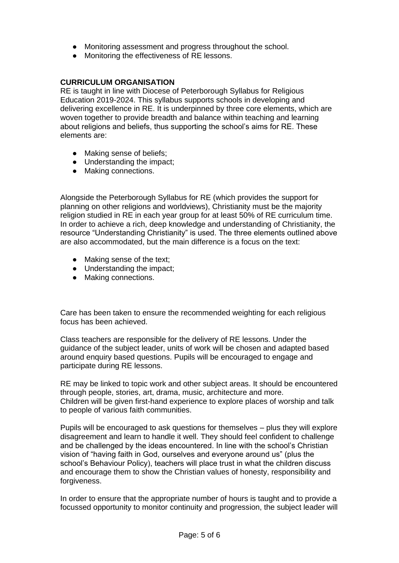- Monitoring assessment and progress throughout the school.
- Monitoring the effectiveness of RE lessons.

#### **CURRICULUM ORGANISATION**

RE is taught in line with Diocese of Peterborough Syllabus for Religious Education 2019-2024. This syllabus supports schools in developing and delivering excellence in RE. It is underpinned by three core elements, which are woven together to provide breadth and balance within teaching and learning about religions and beliefs, thus supporting the school's aims for RE. These elements are:

- Making sense of beliefs;
- Understanding the impact;
- Making connections.

Alongside the Peterborough Syllabus for RE (which provides the support for planning on other religions and worldviews), Christianity must be the majority religion studied in RE in each year group for at least 50% of RE curriculum time. In order to achieve a rich, deep knowledge and understanding of Christianity, the resource "Understanding Christianity" is used. The three elements outlined above are also accommodated, but the main difference is a focus on the text:

- Making sense of the text;
- Understanding the impact;
- Making connections.

Care has been taken to ensure the recommended weighting for each religious focus has been achieved.

Class teachers are responsible for the delivery of RE lessons. Under the guidance of the subject leader, units of work will be chosen and adapted based around enquiry based questions. Pupils will be encouraged to engage and participate during RE lessons.

RE may be linked to topic work and other subject areas. It should be encountered through people, stories, art, drama, music, architecture and more. Children will be given first-hand experience to explore places of worship and talk to people of various faith communities.

Pupils will be encouraged to ask questions for themselves – plus they will explore disagreement and learn to handle it well. They should feel confident to challenge and be challenged by the ideas encountered. In line with the school's Christian vision of "having faith in God, ourselves and everyone around us" (plus the school's Behaviour Policy), teachers will place trust in what the children discuss and encourage them to show the Christian values of honesty, responsibility and forgiveness.

In order to ensure that the appropriate number of hours is taught and to provide a focussed opportunity to monitor continuity and progression, the subject leader will